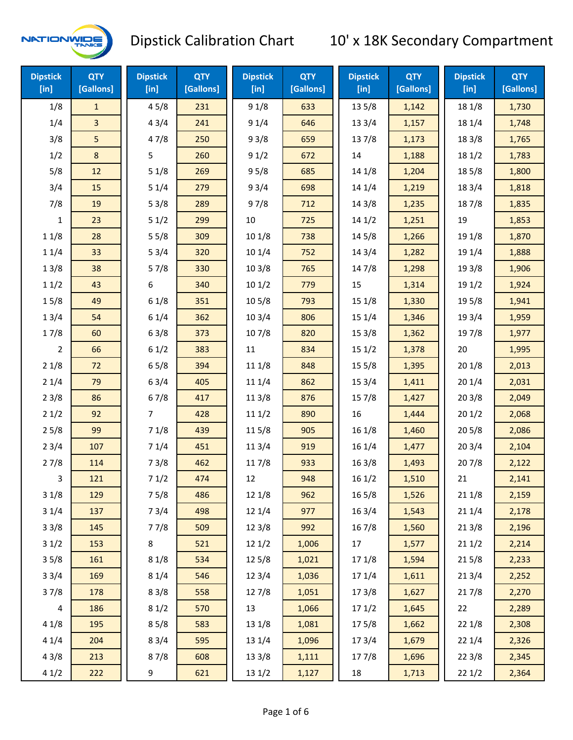

| <b>Dipstick</b><br>$[$ in] | <b>QTY</b><br>[Gallons] | <b>Dipstick</b><br>$[$ in] | <b>QTY</b><br>[Gallons] | <b>Dipstick</b><br>[in] | <b>QTY</b><br>[Gallons] | <b>Dipstick</b><br>$[$ in] | <b>QTY</b><br>[Gallons] | <b>Dipstick</b><br>$[$ in] | <b>QTY</b><br>[Gallons] |
|----------------------------|-------------------------|----------------------------|-------------------------|-------------------------|-------------------------|----------------------------|-------------------------|----------------------------|-------------------------|
| 1/8                        | $\mathbf{1}$            | 45/8                       | 231                     | 91/8                    | 633                     | 13 5/8                     | 1,142                   | 18 1/8                     | 1,730                   |
| 1/4                        | 3                       | 43/4                       | 241                     | 91/4                    | 646                     | 13 3/4                     | 1,157                   | 18 1/4                     | 1,748                   |
| 3/8                        | 5                       | 47/8                       | 250                     | 93/8                    | 659                     | 137/8                      | 1,173                   | 18 3/8                     | 1,765                   |
| 1/2                        | 8                       | 5                          | 260                     | 91/2                    | 672                     | 14                         | 1,188                   | 18 1/2                     | 1,783                   |
| 5/8                        | 12                      | 51/8                       | 269                     | 95/8                    | 685                     | 14 1/8                     | 1,204                   | 185/8                      | 1,800                   |
| 3/4                        | 15                      | 51/4                       | 279                     | 93/4                    | 698                     | 14 1/4                     | 1,219                   | 18 3/4                     | 1,818                   |
| 7/8                        | 19                      | 53/8                       | 289                     | 97/8                    | 712                     | 14 3/8                     | 1,235                   | 187/8                      | 1,835                   |
| $\mathbf{1}$               | 23                      | 51/2                       | 299                     | 10                      | 725                     | 141/2                      | 1,251                   | 19                         | 1,853                   |
| 11/8                       | 28                      | 55/8                       | 309                     | 10 1/8                  | 738                     | 145/8                      | 1,266                   | 19 1/8                     | 1,870                   |
| 11/4                       | 33                      | 53/4                       | 320                     | 101/4                   | 752                     | 14 3/4                     | 1,282                   | 19 1/4                     | 1,888                   |
| 13/8                       | 38                      | 57/8                       | 330                     | 103/8                   | 765                     | 147/8                      | 1,298                   | 19 3/8                     | 1,906                   |
| 11/2                       | 43                      | 6                          | 340                     | 101/2                   | 779                     | 15                         | 1,314                   | 191/2                      | 1,924                   |
| 15/8                       | 49                      | 61/8                       | 351                     | 10 <sub>5/8</sub>       | 793                     | 15 1/8                     | 1,330                   | 195/8                      | 1,941                   |
| 13/4                       | 54                      | 61/4                       | 362                     | 103/4                   | 806                     | 15 1/4                     | 1,346                   | 19 3/4                     | 1,959                   |
| 17/8                       | 60                      | 63/8                       | 373                     | 107/8                   | 820                     | 153/8                      | 1,362                   | 197/8                      | 1,977                   |
| $\overline{2}$             | 66                      | 61/2                       | 383                     | 11                      | 834                     | 151/2                      | 1,378                   | 20                         | 1,995                   |
| 21/8                       | 72                      | 65/8                       | 394                     | 11 1/8                  | 848                     | 15 5/8                     | 1,395                   | 201/8                      | 2,013                   |
| 21/4                       | 79                      | 63/4                       | 405                     | 11 1/4                  | 862                     | 153/4                      | 1,411                   | 201/4                      | 2,031                   |
| 23/8                       | 86                      | 67/8                       | 417                     | 11 3/8                  | 876                     | 15 7/8                     | 1,427                   | 203/8                      | 2,049                   |
| 21/2                       | 92                      | 7                          | 428                     | 111/2                   | 890                     | 16                         | 1,444                   | 201/2                      | 2,068                   |
| 25/8                       | 99                      | 71/8                       | 439                     | 115/8                   | 905                     | 16 1/8                     | 1,460                   | 205/8                      | 2,086                   |
| 23/4                       | 107                     | 71/4                       | 451                     | 11 3/4                  | 919                     | 16 1/4                     | 1,477                   | 203/4                      | 2,104                   |
| 27/8                       | 114                     | 73/8                       | 462                     | 117/8                   | 933                     | 16 3/8                     | 1,493                   | 207/8                      | 2,122                   |
| 3                          | 121                     | 71/2                       | 474                     | 12                      | 948                     | 161/2                      | 1,510                   | 21                         | 2,141                   |
| 31/8                       | 129                     | 75/8                       | 486                     | 12 1/8                  | 962                     | 16 5/8                     | 1,526                   | 211/8                      | 2,159                   |
| 31/4                       | 137                     | 73/4                       | 498                     | 12 1/4                  | 977                     | 16 3/4                     | 1,543                   | 211/4                      | 2,178                   |
| 33/8                       | 145                     | 77/8                       | 509                     | 12 3/8                  | 992                     | 16 7/8                     | 1,560                   | 213/8                      | 2,196                   |
| 31/2                       | 153                     | 8                          | 521                     | 121/2                   | 1,006                   | 17                         | 1,577                   | 211/2                      | 2,214                   |
| 35/8                       | 161                     | 81/8                       | 534                     | 125/8                   | 1,021                   | 17 1/8                     | 1,594                   | 215/8                      | 2,233                   |
| 33/4                       | 169                     | 81/4                       | 546                     | 123/4                   | 1,036                   | 17 1/4                     | 1,611                   | 213/4                      | 2,252                   |
| 37/8                       | 178                     | 83/8                       | 558                     | 127/8                   | 1,051                   | 173/8                      | 1,627                   | 217/8                      | 2,270                   |
| $\overline{4}$             | 186                     | 81/2                       | 570                     | 13                      | 1,066                   | 171/2                      | 1,645                   | 22                         | 2,289                   |
| 41/8                       | 195                     | 85/8                       | 583                     | 13 1/8                  | 1,081                   | 175/8                      | 1,662                   | 22 1/8                     | 2,308                   |
| 41/4                       | 204                     | 83/4                       | 595                     | 13 1/4                  | 1,096                   | 17 3/4                     | 1,679                   | 221/4                      | 2,326                   |
| 43/8                       | 213                     | 87/8                       | 608                     | 13 3/8                  | 1,111                   | 177/8                      | 1,696                   | 223/8                      | 2,345                   |
| 41/2                       | 222                     | 9                          | 621                     | 13 1/2                  | 1,127                   | 18                         | 1,713                   | 221/2                      | 2,364                   |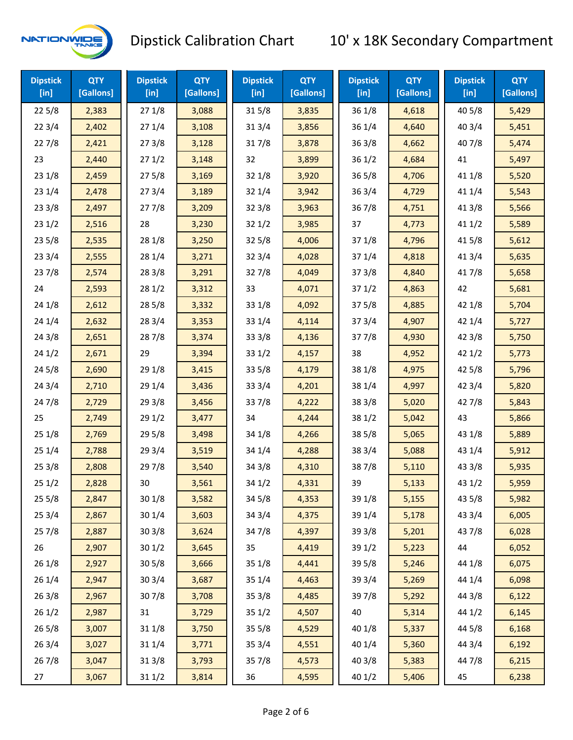

| <b>Dipstick</b><br>$[$ in] | <b>QTY</b><br>[Gallons] | <b>Dipstick</b><br>$[$ in] | <b>QTY</b><br>[Gallons] | <b>Dipstick</b><br>[in] | <b>QTY</b><br>[Gallons] | <b>Dipstick</b><br>$[$ in] | <b>QTY</b><br>[Gallons] | <b>Dipstick</b><br>$[$ in] | <b>QTY</b><br>[Gallons] |
|----------------------------|-------------------------|----------------------------|-------------------------|-------------------------|-------------------------|----------------------------|-------------------------|----------------------------|-------------------------|
| 225/8                      | 2,383                   | 271/8                      | 3,088                   | 315/8                   | 3,835                   | 36 1/8                     | 4,618                   | 40 5/8                     | 5,429                   |
| 223/4                      | 2,402                   | 271/4                      | 3,108                   | 313/4                   | 3,856                   | 36 1/4                     | 4,640                   | 403/4                      | 5,451                   |
| 227/8                      | 2,421                   | 273/8                      | 3,128                   | 317/8                   | 3,878                   | 36 3/8                     | 4,662                   | 407/8                      | 5,474                   |
| 23                         | 2,440                   | 271/2                      | 3,148                   | 32                      | 3,899                   | 36 1/2                     | 4,684                   | 41                         | 5,497                   |
| 23 1/8                     | 2,459                   | 275/8                      | 3,169                   | 32 1/8                  | 3,920                   | 36 5/8                     | 4,706                   | 41 1/8                     | 5,520                   |
| 231/4                      | 2,478                   | 273/4                      | 3,189                   | 32 1/4                  | 3,942                   | 36 3/4                     | 4,729                   | 41 1/4                     | 5,543                   |
| 233/8                      | 2,497                   | 277/8                      | 3,209                   | 323/8                   | 3,963                   | 367/8                      | 4,751                   | 41 3/8                     | 5,566                   |
| 231/2                      | 2,516                   | 28                         | 3,230                   | 321/2                   | 3,985                   | 37                         | 4,773                   | 411/2                      | 5,589                   |
| 235/8                      | 2,535                   | 28 1/8                     | 3,250                   | 325/8                   | 4,006                   | 37 1/8                     | 4,796                   | 41 5/8                     | 5,612                   |
| 233/4                      | 2,555                   | 28 1/4                     | 3,271                   | 32 3/4                  | 4,028                   | 37 1/4                     | 4,818                   | 41 3/4                     | 5,635                   |
| 237/8                      | 2,574                   | 28 3/8                     | 3,291                   | 327/8                   | 4,049                   | 37 3/8                     | 4,840                   | 417/8                      | 5,658                   |
| 24                         | 2,593                   | 281/2                      | 3,312                   | 33                      | 4,071                   | 371/2                      | 4,863                   | 42                         | 5,681                   |
| 24 1/8                     | 2,612                   | 285/8                      | 3,332                   | 33 1/8                  | 4,092                   | 37 5/8                     | 4,885                   | 42 1/8                     | 5,704                   |
| 241/4                      | 2,632                   | 283/4                      | 3,353                   | 33 1/4                  | 4,114                   | 37 3/4                     | 4,907                   | 42 1/4                     | 5,727                   |
| 243/8                      | 2,651                   | 287/8                      | 3,374                   | 33 3/8                  | 4,136                   | 377/8                      | 4,930                   | 42 3/8                     | 5,750                   |
| 241/2                      | 2,671                   | 29                         | 3,394                   | 331/2                   | 4,157                   | 38                         | 4,952                   | 421/2                      | 5,773                   |
| 245/8                      | 2,690                   | 29 1/8                     | 3,415                   | 33 5/8                  | 4,179                   | 38 1/8                     | 4,975                   | 42 5/8                     | 5,796                   |
| 243/4                      | 2,710                   | 29 1/4                     | 3,436                   | 33 3/4                  | 4,201                   | 38 1/4                     | 4,997                   | 42 3/4                     | 5,820                   |
| 24 7/8                     | 2,729                   | 293/8                      | 3,456                   | 337/8                   | 4,222                   | 38 3/8                     | 5,020                   | 42 7/8                     | 5,843                   |
| 25                         | 2,749                   | 291/2                      | 3,477                   | 34                      | 4,244                   | 38 1/2                     | 5,042                   | 43                         | 5,866                   |
| 251/8                      | 2,769                   | 29 5/8                     | 3,498                   | 34 1/8                  | 4,266                   | 38 5/8                     | 5,065                   | 43 1/8                     | 5,889                   |
| 251/4                      | 2,788                   | 29 3/4                     | 3,519                   | 34 1/4                  | 4,288                   | 38 3/4                     | 5,088                   | 43 1/4                     | 5,912                   |
| 253/8                      | 2,808                   | 297/8                      | 3,540                   | 34 3/8                  | 4,310                   | 387/8                      | 5,110                   | 43 3/8                     | 5,935                   |
| 251/2                      | 2,828                   | 30                         | 3,561                   | 34 1/2                  | 4,331                   | 39                         | 5,133                   | 43 1/2                     | 5,959                   |
| 255/8                      | 2,847                   | 30 1/8                     | 3,582                   | 34 5/8                  | 4,353                   | 39 1/8                     | 5,155                   | 43 5/8                     | 5,982                   |
| 253/4                      | 2,867                   | 30 1/4                     | 3,603                   | 34 3/4                  | 4,375                   | 39 1/4                     | 5,178                   | 43 3/4                     | 6,005                   |
| 257/8                      | 2,887                   | 30 3/8                     | 3,624                   | 347/8                   | 4,397                   | 39 3/8                     | 5,201                   | 437/8                      | 6,028                   |
| 26                         | 2,907                   | 30 1/2                     | 3,645                   | 35                      | 4,419                   | 39 1/2                     | 5,223                   | 44                         | 6,052                   |
| 26 1/8                     | 2,927                   | 305/8                      | 3,666                   | 35 1/8                  | 4,441                   | 39 5/8                     | 5,246                   | 44 1/8                     | 6,075                   |
| 26 1/4                     | 2,947                   | 30 3/4                     | 3,687                   | 35 1/4                  | 4,463                   | 39 3/4                     | 5,269                   | 44 1/4                     | 6,098                   |
| 263/8                      | 2,967                   | 307/8                      | 3,708                   | 35 3/8                  | 4,485                   | 397/8                      | 5,292                   | 44 3/8                     | 6,122                   |
| 261/2                      | 2,987                   | 31                         | 3,729                   | 35 1/2                  | 4,507                   | 40                         | 5,314                   | 44 1/2                     | 6,145                   |
| 265/8                      | 3,007                   | 31 1/8                     | 3,750                   | 35 5/8                  | 4,529                   | 40 1/8                     | 5,337                   | 44 5/8                     | 6,168                   |
| 263/4                      | 3,027                   | 31 1/4                     | 3,771                   | 35 3/4                  | 4,551                   | 40 1/4                     | 5,360                   | 44 3/4                     | 6,192                   |
| 267/8                      | 3,047                   | 31 3/8                     | 3,793                   | 357/8                   | 4,573                   | 40 3/8                     | 5,383                   | 447/8                      | 6,215                   |
| 27                         | 3,067                   | 311/2                      | 3,814                   | 36                      | 4,595                   | 40 1/2                     | 5,406                   | 45                         | 6,238                   |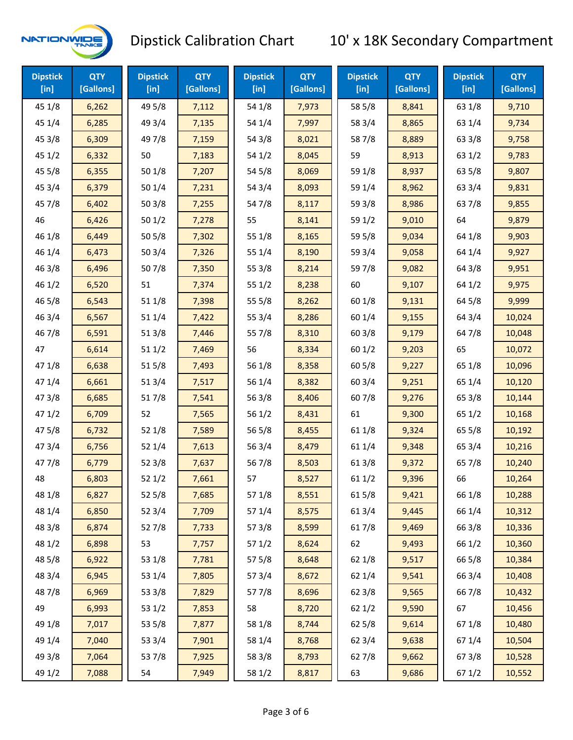

| <b>Dipstick</b><br>$[$ in] | <b>QTY</b><br>[Gallons] | <b>Dipstick</b><br>$[$ in] | <b>QTY</b><br>[Gallons] | <b>Dipstick</b><br>$[$ in] | <b>QTY</b><br>[Gallons] | <b>Dipstick</b><br>$[$ in] | <b>QTY</b><br>[Gallons] | <b>Dipstick</b><br>$[$ in] | <b>QTY</b><br>[Gallons] |
|----------------------------|-------------------------|----------------------------|-------------------------|----------------------------|-------------------------|----------------------------|-------------------------|----------------------------|-------------------------|
| 45 1/8                     | 6,262                   | 49 5/8                     | 7,112                   | 54 1/8                     | 7,973                   | 58 5/8                     | 8,841                   | 63 1/8                     | 9,710                   |
| 45 1/4                     | 6,285                   | 49 3/4                     | 7,135                   | 54 1/4                     | 7,997                   | 58 3/4                     | 8,865                   | 63 1/4                     | 9,734                   |
| 45 3/8                     | 6,309                   | 49 7/8                     | 7,159                   | 54 3/8                     | 8,021                   | 587/8                      | 8,889                   | 63 3/8                     | 9,758                   |
| 45 1/2                     | 6,332                   | 50                         | 7,183                   | 54 1/2                     | 8,045                   | 59                         | 8,913                   | 63 1/2                     | 9,783                   |
| 45 5/8                     | 6,355                   | 50 1/8                     | 7,207                   | 54 5/8                     | 8,069                   | 59 1/8                     | 8,937                   | 63 5/8                     | 9,807                   |
| 45 3/4                     | 6,379                   | 50 1/4                     | 7,231                   | 54 3/4                     | 8,093                   | 59 1/4                     | 8,962                   | 63 3/4                     | 9,831                   |
| 45 7/8                     | 6,402                   | 503/8                      | 7,255                   | 54 7/8                     | 8,117                   | 59 3/8                     | 8,986                   | 637/8                      | 9,855                   |
| 46                         | 6,426                   | 501/2                      | 7,278                   | 55                         | 8,141                   | 59 1/2                     | 9,010                   | 64                         | 9,879                   |
| 46 1/8                     | 6,449                   | 505/8                      | 7,302                   | 55 1/8                     | 8,165                   | 59 5/8                     | 9,034                   | 64 1/8                     | 9,903                   |
| 46 1/4                     | 6,473                   | 50 3/4                     | 7,326                   | 55 1/4                     | 8,190                   | 59 3/4                     | 9,058                   | 64 1/4                     | 9,927                   |
| 46 3/8                     | 6,496                   | 507/8                      | 7,350                   | 55 3/8                     | 8,214                   | 597/8                      | 9,082                   | 64 3/8                     | 9,951                   |
| 46 1/2                     | 6,520                   | 51                         | 7,374                   | 551/2                      | 8,238                   | 60                         | 9,107                   | 64 1/2                     | 9,975                   |
| 46 5/8                     | 6,543                   | 51 1/8                     | 7,398                   | 55 5/8                     | 8,262                   | 60 1/8                     | 9,131                   | 64 5/8                     | 9,999                   |
| 46 3/4                     | 6,567                   | 51 1/4                     | 7,422                   | 55 3/4                     | 8,286                   | 60 1/4                     | 9,155                   | 64 3/4                     | 10,024                  |
| 46 7/8                     | 6,591                   | 51 3/8                     | 7,446                   | 55 7/8                     | 8,310                   | 603/8                      | 9,179                   | 64 7/8                     | 10,048                  |
| 47                         | 6,614                   | 511/2                      | 7,469                   | 56                         | 8,334                   | 601/2                      | 9,203                   | 65                         | 10,072                  |
| 47 1/8                     | 6,638                   | 515/8                      | 7,493                   | 56 1/8                     | 8,358                   | 60 5/8                     | 9,227                   | 65 1/8                     | 10,096                  |
| 47 1/4                     | 6,661                   | 513/4                      | 7,517                   | 56 1/4                     | 8,382                   | 60 3/4                     | 9,251                   | 65 1/4                     | 10,120                  |
| 47 3/8                     | 6,685                   | 517/8                      | 7,541                   | 563/8                      | 8,406                   | 607/8                      | 9,276                   | 65 3/8                     | 10,144                  |
| 471/2                      | 6,709                   | 52                         | 7,565                   | 561/2                      | 8,431                   | 61                         | 9,300                   | 65 1/2                     | 10,168                  |
| 475/8                      | 6,732                   | 52 1/8                     | 7,589                   | 56 5/8                     | 8,455                   | 61 1/8                     | 9,324                   | 65 5/8                     | 10,192                  |
| 47 3/4                     | 6,756                   | 52 1/4                     | 7,613                   | 56 3/4                     | 8,479                   | 61 1/4                     | 9,348                   | 65 3/4                     | 10,216                  |
| 47 7/8                     | 6,779                   | 52 3/8                     | 7,637                   | 567/8                      | 8,503                   | 61 3/8                     | 9,372                   | 657/8                      | 10,240                  |
| 48                         | 6,803                   | 521/2                      | 7,661                   | 57                         | 8,527                   | 611/2                      | 9,396                   | 66                         | 10,264                  |
| 48 1/8                     | 6,827                   | 525/8                      | 7,685                   | 57 1/8                     | 8,551                   | 615/8                      | 9,421                   | 66 1/8                     | 10,288                  |
| 48 1/4                     | 6,850                   | 52 3/4                     | 7,709                   | 57 1/4                     | 8,575                   | 613/4                      | 9,445                   | 66 1/4                     | 10,312                  |
| 48 3/8                     | 6,874                   | 527/8                      | 7,733                   | 57 3/8                     | 8,599                   | 617/8                      | 9,469                   | 66 3/8                     | 10,336                  |
| 48 1/2                     | 6,898                   | 53                         | 7,757                   | 571/2                      | 8,624                   | 62                         | 9,493                   | 66 1/2                     | 10,360                  |
| 48 5/8                     | 6,922                   | 53 1/8                     | 7,781                   | 57 5/8                     | 8,648                   | 62 1/8                     | 9,517                   | 66 5/8                     | 10,384                  |
| 48 3/4                     | 6,945                   | 53 1/4                     | 7,805                   | 573/4                      | 8,672                   | 62 1/4                     | 9,541                   | 66 3/4                     | 10,408                  |
| 487/8                      | 6,969                   | 53 3/8                     | 7,829                   | 577/8                      | 8,696                   | 62 3/8                     | 9,565                   | 667/8                      | 10,432                  |
| 49                         | 6,993                   | 53 1/2                     | 7,853                   | 58                         | 8,720                   | 621/2                      | 9,590                   | 67                         | 10,456                  |
| 49 1/8                     | 7,017                   | 53 5/8                     | 7,877                   | 58 1/8                     | 8,744                   | 62 5/8                     | 9,614                   | 671/8                      | 10,480                  |
| 49 1/4                     | 7,040                   | 53 3/4                     | 7,901                   | 58 1/4                     | 8,768                   | 62 3/4                     | 9,638                   | 671/4                      | 10,504                  |
| 49 3/8                     | 7,064                   | 537/8                      | 7,925                   | 58 3/8                     | 8,793                   | 627/8                      | 9,662                   | 67 3/8                     | 10,528                  |
| 49 1/2                     | 7,088                   | 54                         | 7,949                   | 58 1/2                     | 8,817                   | 63                         | 9,686                   | 67 1/2                     | 10,552                  |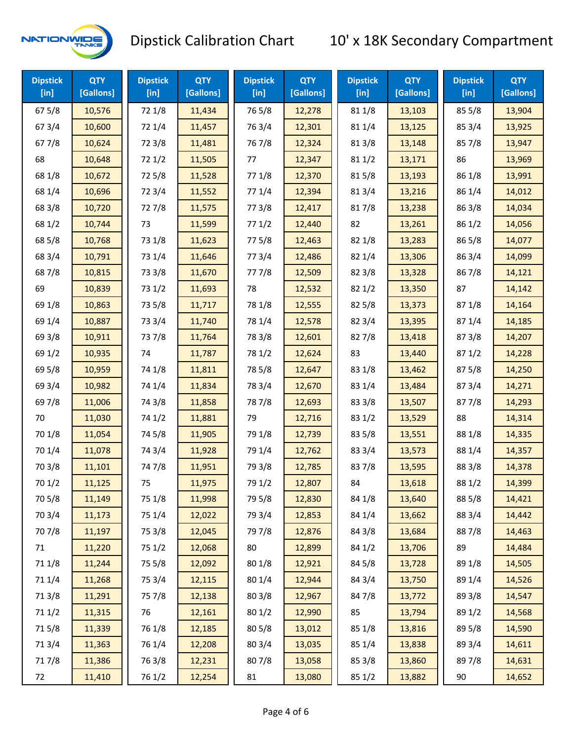

| <b>Dipstick</b><br>$[$ in] | <b>QTY</b><br>[Gallons] | <b>Dipstick</b><br>$[$ in] | <b>QTY</b><br>[Gallons] | <b>Dipstick</b><br>$[$ in] | <b>QTY</b><br>[Gallons] | <b>Dipstick</b><br>$[$ in] | <b>QTY</b><br>[Gallons] | <b>Dipstick</b><br>$[$ in] | <b>QTY</b><br>[Gallons] |
|----------------------------|-------------------------|----------------------------|-------------------------|----------------------------|-------------------------|----------------------------|-------------------------|----------------------------|-------------------------|
| 67 5/8                     | 10,576                  | 72 1/8                     | 11,434                  | 765/8                      | 12,278                  | 81 1/8                     | 13,103                  | 85 5/8                     | 13,904                  |
| 67 3/4                     | 10,600                  | 72 1/4                     | 11,457                  | 763/4                      | 12,301                  | 81 1/4                     | 13,125                  | 85 3/4                     | 13,925                  |
| 677/8                      | 10,624                  | 72 3/8                     | 11,481                  | 767/8                      | 12,324                  | 81 3/8                     | 13,148                  | 857/8                      | 13,947                  |
| 68                         | 10,648                  | 72 1/2                     | 11,505                  | 77                         | 12,347                  | 81 1/2                     | 13,171                  | 86                         | 13,969                  |
| 68 1/8                     | 10,672                  | 725/8                      | 11,528                  | 77 1/8                     | 12,370                  | 815/8                      | 13,193                  | 86 1/8                     | 13,991                  |
| 68 1/4                     | 10,696                  | 72 3/4                     | 11,552                  | 77 1/4                     | 12,394                  | 813/4                      | 13,216                  | 86 1/4                     | 14,012                  |
| 68 3/8                     | 10,720                  | 727/8                      | 11,575                  | 77 3/8                     | 12,417                  | 817/8                      | 13,238                  | 86 3/8                     | 14,034                  |
| 68 1/2                     | 10,744                  | 73                         | 11,599                  | 771/2                      | 12,440                  | 82                         | 13,261                  | 86 1/2                     | 14,056                  |
| 68 5/8                     | 10,768                  | 73 1/8                     | 11,623                  | 775/8                      | 12,463                  | 82 1/8                     | 13,283                  | 86 5/8                     | 14,077                  |
| 68 3/4                     | 10,791                  | 73 1/4                     | 11,646                  | 773/4                      | 12,486                  | 82 1/4                     | 13,306                  | 863/4                      | 14,099                  |
| 687/8                      | 10,815                  | 73 3/8                     | 11,670                  | 777/8                      | 12,509                  | 82 3/8                     | 13,328                  | 867/8                      | 14,121                  |
| 69                         | 10,839                  | 73 1/2                     | 11,693                  | 78                         | 12,532                  | 821/2                      | 13,350                  | 87                         | 14,142                  |
| 69 1/8                     | 10,863                  | 73 5/8                     | 11,717                  | 78 1/8                     | 12,555                  | 82 5/8                     | 13,373                  | 871/8                      | 14,164                  |
| 69 1/4                     | 10,887                  | 73 3/4                     | 11,740                  | 78 1/4                     | 12,578                  | 82 3/4                     | 13,395                  | 87 1/4                     | 14,185                  |
| 69 3/8                     | 10,911                  | 737/8                      | 11,764                  | 78 3/8                     | 12,601                  | 827/8                      | 13,418                  | 87 3/8                     | 14,207                  |
| 69 1/2                     | 10,935                  | 74                         | 11,787                  | 78 1/2                     | 12,624                  | 83                         | 13,440                  | 871/2                      | 14,228                  |
| 69 5/8                     | 10,959                  | 74 1/8                     | 11,811                  | 78 5/8                     | 12,647                  | 83 1/8                     | 13,462                  | 87 5/8                     | 14,250                  |
| 69 3/4                     | 10,982                  | 74 1/4                     | 11,834                  | 78 3/4                     | 12,670                  | 83 1/4                     | 13,484                  | 87 3/4                     | 14,271                  |
| 697/8                      | 11,006                  | 74 3/8                     | 11,858                  | 787/8                      | 12,693                  | 83 3/8                     | 13,507                  | 877/8                      | 14,293                  |
| 70                         | 11,030                  | 74 1/2                     | 11,881                  | 79                         | 12,716                  | 83 1/2                     | 13,529                  | 88                         | 14,314                  |
| 70 1/8                     | 11,054                  | 74 5/8                     | 11,905                  | 79 1/8                     | 12,739                  | 83 5/8                     | 13,551                  | 88 1/8                     | 14,335                  |
| 70 1/4                     | 11,078                  | 74 3/4                     | 11,928                  | 79 1/4                     | 12,762                  | 83 3/4                     | 13,573                  | 88 1/4                     | 14,357                  |
| 70 3/8                     | 11,101                  | 747/8                      | 11,951                  | 79 3/8                     | 12,785                  | 837/8                      | 13,595                  | 88 3/8                     | 14,378                  |
| 70 1/2                     | 11,125                  | 75                         | 11,975                  | 79 1/2                     | 12,807                  | 84                         | 13,618                  | 88 1/2                     | 14,399                  |
| 70 5/8                     | 11,149                  | 75 1/8                     | 11,998                  | 79 5/8                     | 12,830                  | 84 1/8                     | 13,640                  | 88 5/8                     | 14,421                  |
| 70 3/4                     | 11,173                  | 75 1/4                     | 12,022                  | 79 3/4                     | 12,853                  | 84 1/4                     | 13,662                  | 88 3/4                     | 14,442                  |
| 70 7/8                     | 11,197                  | 75 3/8                     | 12,045                  | 79 7/8                     | 12,876                  | 84 3/8                     | 13,684                  | 887/8                      | 14,463                  |
| 71                         | 11,220                  | 75 1/2                     | 12,068                  | 80                         | 12,899                  | 84 1/2                     | 13,706                  | 89                         | 14,484                  |
| 71 1/8                     | 11,244                  | 75 5/8                     | 12,092                  | 80 1/8                     | 12,921                  | 84 5/8                     | 13,728                  | 89 1/8                     | 14,505                  |
| 71 1/4                     | 11,268                  | 75 3/4                     | 12,115                  | 80 1/4                     | 12,944                  | 84 3/4                     | 13,750                  | 89 1/4                     | 14,526                  |
| 713/8                      | 11,291                  | 75 7/8                     | 12,138                  | 80 3/8                     | 12,967                  | 847/8                      | 13,772                  | 89 3/8                     | 14,547                  |
| 71 1/2                     | 11,315                  | 76                         | 12,161                  | 80 1/2                     | 12,990                  | 85                         | 13,794                  | 89 1/2                     | 14,568                  |
| 715/8                      | 11,339                  | 76 1/8                     | 12,185                  | 80 5/8                     | 13,012                  | 85 1/8                     | 13,816                  | 89 5/8                     | 14,590                  |
| 713/4                      | 11,363                  | 76 1/4                     | 12,208                  | 80 3/4                     | 13,035                  | 85 1/4                     | 13,838                  | 89 3/4                     | 14,611                  |
| 717/8                      | 11,386                  | 763/8                      | 12,231                  | 807/8                      | 13,058                  | 85 3/8                     | 13,860                  | 897/8                      | 14,631                  |
| 72                         | 11,410                  | 76 1/2                     | 12,254                  | 81                         | 13,080                  | 85 1/2                     | 13,882                  | 90                         | 14,652                  |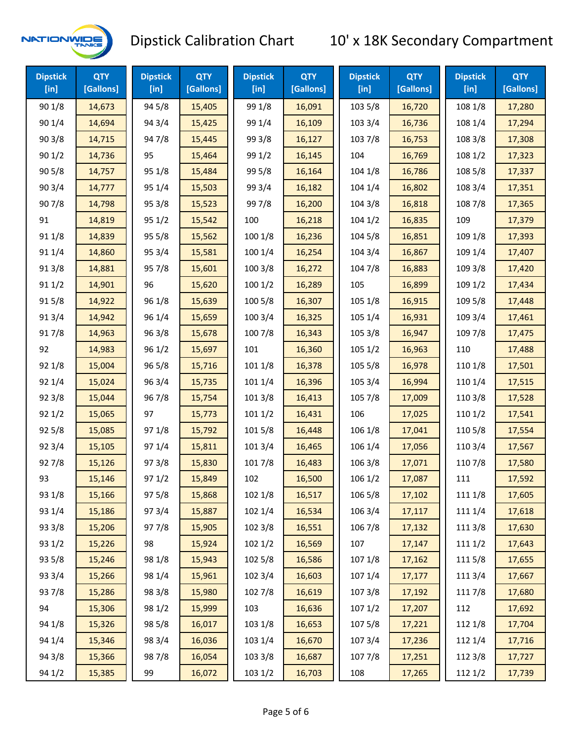

| <b>Dipstick</b><br>$[$ in] | <b>QTY</b><br>[Gallons] | <b>Dipstick</b><br>$[$ in] | <b>QTY</b><br>[Gallons] | <b>Dipstick</b><br>$[$ in] | <b>QTY</b><br>[Gallons] | <b>Dipstick</b><br>$[$ in] | <b>QTY</b><br>[Gallons] | <b>Dipstick</b><br>$[$ in] | <b>QTY</b><br>[Gallons] |
|----------------------------|-------------------------|----------------------------|-------------------------|----------------------------|-------------------------|----------------------------|-------------------------|----------------------------|-------------------------|
| 901/8                      | 14,673                  | 94 5/8                     | 15,405                  | 99 1/8                     | 16,091                  | 103 5/8                    | 16,720                  | 108 1/8                    | 17,280                  |
| 901/4                      | 14,694                  | 94 3/4                     | 15,425                  | 99 1/4                     | 16,109                  | 103 3/4                    | 16,736                  | 108 1/4                    | 17,294                  |
| 903/8                      | 14,715                  | 947/8                      | 15,445                  | 99 3/8                     | 16,127                  | 1037/8                     | 16,753                  | 108 3/8                    | 17,308                  |
| 901/2                      | 14,736                  | 95                         | 15,464                  | 99 1/2                     | 16,145                  | 104                        | 16,769                  | 108 1/2                    | 17,323                  |
| 905/8                      | 14,757                  | 95 1/8                     | 15,484                  | 99 5/8                     | 16,164                  | 104 1/8                    | 16,786                  | 108 5/8                    | 17,337                  |
| 903/4                      | 14,777                  | 95 1/4                     | 15,503                  | 99 3/4                     | 16,182                  | 104 1/4                    | 16,802                  | 108 3/4                    | 17,351                  |
| 907/8                      | 14,798                  | 95 3/8                     | 15,523                  | 997/8                      | 16,200                  | 104 3/8                    | 16,818                  | 108 7/8                    | 17,365                  |
| 91                         | 14,819                  | 951/2                      | 15,542                  | 100                        | 16,218                  | 1041/2                     | 16,835                  | 109                        | 17,379                  |
| 91 1/8                     | 14,839                  | 95 5/8                     | 15,562                  | 100 1/8                    | 16,236                  | 104 5/8                    | 16,851                  | 109 1/8                    | 17,393                  |
| 91 1/4                     | 14,860                  | 95 3/4                     | 15,581                  | 100 1/4                    | 16,254                  | 104 3/4                    | 16,867                  | 109 1/4                    | 17,407                  |
| 913/8                      | 14,881                  | 95 7/8                     | 15,601                  | 100 3/8                    | 16,272                  | 104 7/8                    | 16,883                  | 109 3/8                    | 17,420                  |
| 91 1/2                     | 14,901                  | 96                         | 15,620                  | 1001/2                     | 16,289                  | 105                        | 16,899                  | 109 1/2                    | 17,434                  |
| 915/8                      | 14,922                  | 96 1/8                     | 15,639                  | 100 5/8                    | 16,307                  | 105 1/8                    | 16,915                  | 109 5/8                    | 17,448                  |
| 913/4                      | 14,942                  | 96 1/4                     | 15,659                  | 100 3/4                    | 16,325                  | 105 1/4                    | 16,931                  | 109 3/4                    | 17,461                  |
| 917/8                      | 14,963                  | 963/8                      | 15,678                  | 100 7/8                    | 16,343                  | 105 3/8                    | 16,947                  | 109 7/8                    | 17,475                  |
| 92                         | 14,983                  | 96 1/2                     | 15,697                  | 101                        | 16,360                  | 1051/2                     | 16,963                  | 110                        | 17,488                  |
| 92 1/8                     | 15,004                  | 96 5/8                     | 15,716                  | 101 1/8                    | 16,378                  | 105 5/8                    | 16,978                  | 110 1/8                    | 17,501                  |
| 92 1/4                     | 15,024                  | 963/4                      | 15,735                  | 101 1/4                    | 16,396                  | 105 3/4                    | 16,994                  | 110 1/4                    | 17,515                  |
| 92 3/8                     | 15,044                  | 967/8                      | 15,754                  | 1013/8                     | 16,413                  | 105 7/8                    | 17,009                  | 110 3/8                    | 17,528                  |
| 921/2                      | 15,065                  | 97                         | 15,773                  | 1011/2                     | 16,431                  | 106                        | 17,025                  | 110 1/2                    | 17,541                  |
| 925/8                      | 15,085                  | 97 1/8                     | 15,792                  | 101 5/8                    | 16,448                  | 106 1/8                    | 17,041                  | 110 5/8                    | 17,554                  |
| 92 3/4                     | 15,105                  | 97 1/4                     | 15,811                  | 101 3/4                    | 16,465                  | 106 1/4                    | 17,056                  | 110 3/4                    | 17,567                  |
| 927/8                      | 15,126                  | 973/8                      | 15,830                  | 101 7/8                    | 16,483                  | 106 3/8                    | 17,071                  | 110 7/8                    | 17,580                  |
| 93                         | 15,146                  | 971/2                      | 15,849                  | 102                        | 16,500                  | 106 1/2                    | 17,087                  | 111                        | 17,592                  |
| 93 1/8                     | 15,166                  | 97 5/8                     | 15,868                  | 102 1/8                    | 16,517                  | 106 5/8                    | 17,102                  | 111 1/8                    | 17,605                  |
| 93 1/4                     | 15,186                  | 973/4                      | 15,887                  | 102 1/4                    | 16,534                  | 106 3/4                    | 17,117                  | 111 1/4                    | 17,618                  |
| 93 3/8                     | 15,206                  | 977/8                      | 15,905                  | 102 3/8                    | 16,551                  | 106 7/8                    | 17,132                  | 111 3/8                    | 17,630                  |
| 93 1/2                     | 15,226                  | 98                         | 15,924                  | 1021/2                     | 16,569                  | 107                        | 17,147                  | 111 1/2                    | 17,643                  |
| 93 5/8                     | 15,246                  | 98 1/8                     | 15,943                  | 102 5/8                    | 16,586                  | 107 1/8                    | 17,162                  | 1115/8                     | 17,655                  |
| 93 3/4                     | 15,266                  | 98 1/4                     | 15,961                  | 102 3/4                    | 16,603                  | 107 1/4                    | 17,177                  | 111 3/4                    | 17,667                  |
| 937/8                      | 15,286                  | 98 3/8                     | 15,980                  | 102 7/8                    | 16,619                  | 107 3/8                    | 17,192                  | 111 7/8                    | 17,680                  |
| 94                         | 15,306                  | 98 1/2                     | 15,999                  | 103                        | 16,636                  | 1071/2                     | 17,207                  | 112                        | 17,692                  |
| 94 1/8                     | 15,326                  | 98 5/8                     | 16,017                  | 103 1/8                    | 16,653                  | 1075/8                     | 17,221                  | 112 1/8                    | 17,704                  |
| 94 1/4                     | 15,346                  | 98 3/4                     | 16,036                  | 103 1/4                    | 16,670                  | 1073/4                     | 17,236                  | 112 1/4                    | 17,716                  |
| 94 3/8                     | 15,366                  | 987/8                      | 16,054                  | 103 3/8                    | 16,687                  | 1077/8                     | 17,251                  | 112 3/8                    | 17,727                  |
| 94 1/2                     | 15,385                  | 99                         | 16,072                  | 103 1/2                    | 16,703                  | 108                        | 17,265                  | 112 1/2                    | 17,739                  |